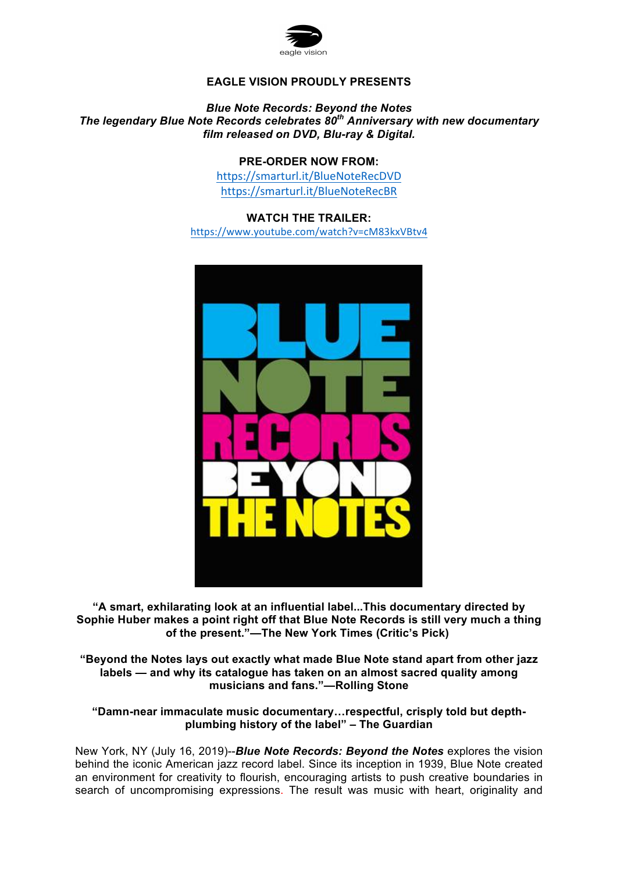

# **EAGLE VISION PROUDLY PRESENTS**

#### *Blue Note Records: Beyond the Notes The legendary Blue Note Records celebrates 80th Anniversary with new documentary film released on DVD, Blu-ray & Digital.*

## **PRE-ORDER NOW FROM:**

https://smarturl.it/BlueNoteRecDVD https://smarturl.it/BlueNoteRecBR

**WATCH THE TRAILER:** https://www.youtube.com/watch?v=cM83kxVBtv4



**"A smart, exhilarating look at an influential label...This documentary directed by Sophie Huber makes a point right off that Blue Note Records is still very much a thing of the present."—The New York Times (Critic's Pick)**

**"Beyond the Notes lays out exactly what made Blue Note stand apart from other jazz labels — and why its catalogue has taken on an almost sacred quality among musicians and fans."—Rolling Stone**

**"Damn-near immaculate music documentary…respectful, crisply told but depthplumbing history of the label" – The Guardian** 

New York, NY (July 16, 2019)--*Blue Note Records: Beyond the Notes* explores the vision behind the iconic American jazz record label. Since its inception in 1939, Blue Note created an environment for creativity to flourish, encouraging artists to push creative boundaries in search of uncompromising expressions. The result was music with heart, originality and